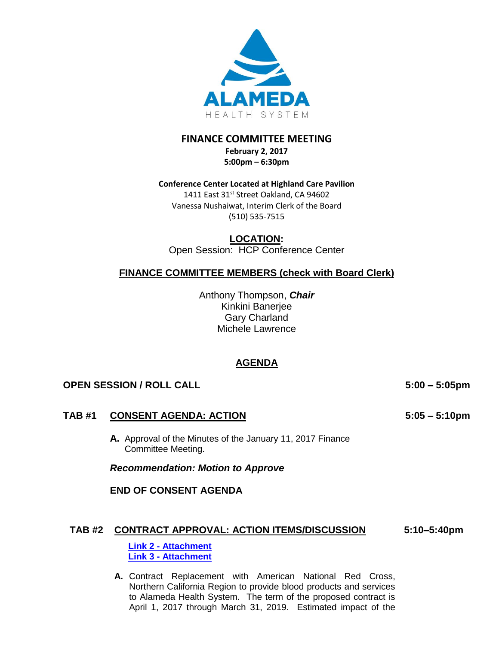

# **FINANCE COMMITTEE MEETING**

**February 2, 2017 5:00pm – 6:30pm** 

### **Conference Center Located at Highland Care Pavilion**

1411 East 31st Street Oakland, CA 94602 Vanessa Nushaiwat, Interim Clerk of the Board (510) 535-7515

## **LOCATION:**

Open Session: HCP Conference Center

## **FINANCE COMMITTEE MEMBERS (check with Board Clerk)**

Anthony Thompson, *Chair* Kinkini Banerjee Gary Charland Michele Lawrence

## **AGENDA**

## **OPEN SESSION / ROLL CALL 5:00 – 5:05pm**

## **TAB #1 CONSENT AGENDA: ACTION**

**A.** Approval of the Minutes of the January 11, 2017 Finance Committee Meeting.

*Recommendation: Motion to Approve*

**END OF CONSENT AGENDA**

#### **TAB #2 CONTRACT APPROVAL: ACTION ITEMS/DISCUSSION 5:10–5:40pm**

**Link 2 - [Attachment](http://www.alamedahealthsystem.org/sites/default/files/agenda-2017-02-02/Link%202_Tab%202%20-%20BOT%20Contract%20Report%20-%20Feb%202%202017.pdf) Link 3 - [Attachment](http://www.alamedahealthsystem.org/sites/default/files/agenda-2017-02-02/Link%203_Tab%202%20-%20Contract%20Definition.pdf)**

**A.** Contract Replacement with American National Red Cross, Northern California Region to provide blood products and services to Alameda Health System. The term of the proposed contract is April 1, 2017 through March 31, 2019. Estimated impact of the

**5:05 – 5:10pm**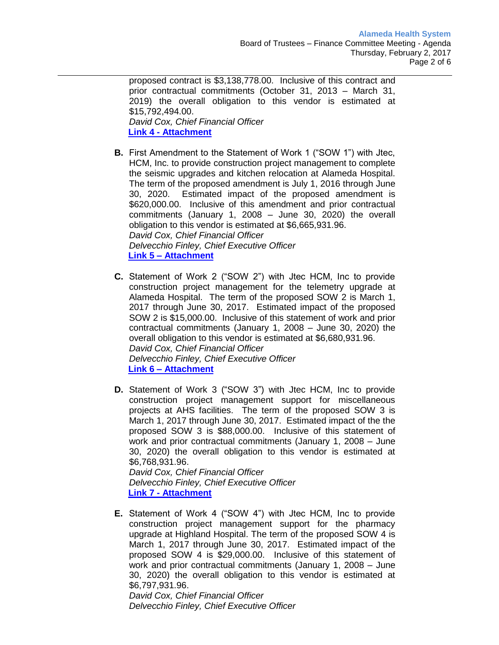proposed contract is \$3,138,778.00. Inclusive of this contract and prior contractual commitments (October 31, 2013 – March 31, 2019) the overall obligation to this vendor is estimated at \$15,792,494.00. *David Cox, Chief Financial Officer*  **Link 4 - [Attachment](http://www.alamedahealthsystem.org/sites/default/files/agenda-2017-02-02/Link%204_Tab%202.a%20-%20American%20National%20Red%20Cross%20Agreement%20-%20Board%20Summary.pdf)**

**B.** First Amendment to the Statement of Work 1 ("SOW 1") with Jtec, HCM, Inc. to provide construction project management to complete the seismic upgrades and kitchen relocation at Alameda Hospital. The term of the proposed amendment is July 1, 2016 through June 30, 2020. Estimated impact of the proposed amendment is \$620,000.00. Inclusive of this amendment and prior contractual commitments (January 1, 2008 – June 30, 2020) the overall obligation to this vendor is estimated at \$6,665,931.96. *David Cox, Chief Financial Officer Delvecchio Finley, Chief Executive Officer* **Link 5 – [Attachment](http://www.alamedahealthsystem.org/sites/default/files/agenda-2017-02-02/Link%205_Tab%202.b%20-%20Jtec%20SOW%201%20-%20Board%20Summary.pdf)**

- **C.** Statement of Work 2 ("SOW 2") with Jtec HCM, Inc to provide construction project management for the telemetry upgrade at Alameda Hospital. The term of the proposed SOW 2 is March 1, 2017 through June 30, 2017. Estimated impact of the proposed SOW 2 is \$15,000.00. Inclusive of this statement of work and prior contractual commitments (January 1, 2008 – June 30, 2020) the overall obligation to this vendor is estimated at \$6,680,931.96. *David Cox, Chief Financial Officer Delvecchio Finley, Chief Executive Officer* **Link 6 – [Attachment](http://www.alamedahealthsystem.org/sites/default/files/agenda-2017-02-02/Link%206_Tab%202.c%20-%20Jtec%20SOW%202%20-%20Board%20Summary.pdf)**
- **D.** Statement of Work 3 ("SOW 3") with Jtec HCM, Inc to provide construction project management support for miscellaneous projects at AHS facilities. The term of the proposed SOW 3 is March 1, 2017 through June 30, 2017. Estimated impact of the the proposed SOW 3 is \$88,000.00. Inclusive of this statement of work and prior contractual commitments (January 1, 2008 – June 30, 2020) the overall obligation to this vendor is estimated at \$6,768,931.96. *David Cox, Chief Financial Officer*

*Delvecchio Finley, Chief Executive Officer* **Link 7 - [Attachment](http://www.alamedahealthsystem.org/sites/default/files/agenda-2017-02-02/Link%207_Tab%202.d%20-%20Jtec%20SOW%203%20-%20Board%20Summary.pdf)**

**E.** Statement of Work 4 ("SOW 4") with Jtec HCM, Inc to provide construction project management support for the pharmacy upgrade at Highland Hospital. The term of the proposed SOW 4 is March 1, 2017 through June 30, 2017. Estimated impact of the proposed SOW 4 is \$29,000.00. Inclusive of this statement of work and prior contractual commitments (January 1, 2008 – June 30, 2020) the overall obligation to this vendor is estimated at \$6,797,931.96.

*David Cox, Chief Financial Officer Delvecchio Finley, Chief Executive Officer*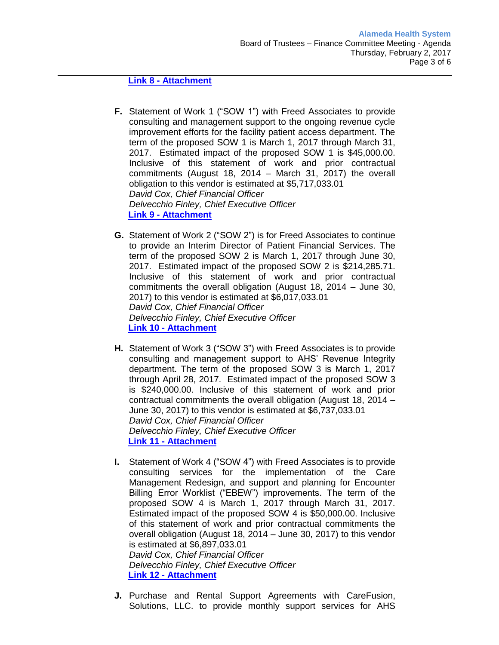#### **Link 8 - [Attachment](http://www.alamedahealthsystem.org/sites/default/files/agenda-2017-02-02/Link%208_Tab%202.e%20-%20Jtec%20SOW%204%20-%20Board%20Summary.pdf)**

- **F.** Statement of Work 1 ("SOW 1") with Freed Associates to provide consulting and management support to the ongoing revenue cycle improvement efforts for the facility patient access department. The term of the proposed SOW 1 is March 1, 2017 through March 31, 2017. Estimated impact of the proposed SOW 1 is \$45,000.00. Inclusive of this statement of work and prior contractual commitments (August 18, 2014 – March 31, 2017) the overall obligation to this vendor is estimated at \$5,717,033.01 *David Cox, Chief Financial Officer Delvecchio Finley, Chief Executive Officer* **Link 9 - [Attachment](http://www.alamedahealthsystem.org/sites/default/files/agenda-2017-02-02/Link%209_Tab%202.f%20-%20Freed%20SOW%201%20-%20Board%20Summary.pdf)**
- **G.** Statement of Work 2 ("SOW 2") is for Freed Associates to continue to provide an Interim Director of Patient Financial Services. The term of the proposed SOW 2 is March 1, 2017 through June 30, 2017. Estimated impact of the proposed SOW 2 is \$214,285.71. Inclusive of this statement of work and prior contractual commitments the overall obligation (August 18, 2014 – June 30, 2017) to this vendor is estimated at \$6,017,033.01 *David Cox, Chief Financial Officer Delvecchio Finley, Chief Executive Officer* **Link 10 - [Attachment](http://www.alamedahealthsystem.org/sites/default/files/agenda-2017-02-02/Link%2010_Tab%202.g%20-%20Freed%20SOW%202%20-%20Board%20Summary.pdf)**
- **H.** Statement of Work 3 ("SOW 3") with Freed Associates is to provide consulting and management support to AHS' Revenue Integrity department. The term of the proposed SOW 3 is March 1, 2017 through April 28, 2017. Estimated impact of the proposed SOW 3 is \$240,000.00. Inclusive of this statement of work and prior contractual commitments the overall obligation (August 18, 2014 – June 30, 2017) to this vendor is estimated at \$6,737,033.01 *David Cox, Chief Financial Officer Delvecchio Finley, Chief Executive Officer* **Link 11 - [Attachment](http://www.alamedahealthsystem.org/sites/default/files/agenda-2017-02-02/Link%2011_Tab%202.h%20-%20Freed%20SOW%203%20-%20Board%20Summary.pdf)**
- **I.** Statement of Work 4 ("SOW 4") with Freed Associates is to provide consulting services for the implementation of the Care Management Redesign, and support and planning for Encounter Billing Error Worklist ("EBEW") improvements. The term of the proposed SOW 4 is March 1, 2017 through March 31, 2017. Estimated impact of the proposed SOW 4 is \$50,000.00. Inclusive of this statement of work and prior contractual commitments the overall obligation (August 18, 2014 – June 30, 2017) to this vendor is estimated at \$6,897,033.01 *David Cox, Chief Financial Officer Delvecchio Finley, Chief Executive Officer* **Link 12 - [Attachment](http://www.alamedahealthsystem.org/sites/default/files/agenda-2017-02-02/Link%2012_Tab%202.i%20-%20Freed%20SOW%204%20-%20Board%20Summary.pdf)**
- **J.** Purchase and Rental Support Agreements with CareFusion, Solutions, LLC. to provide monthly support services for AHS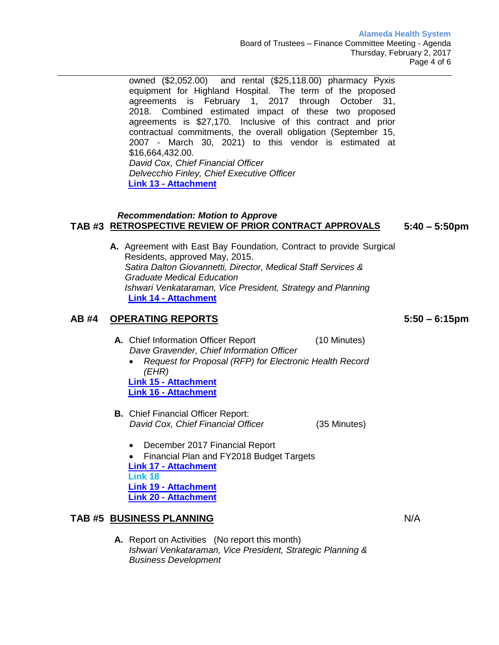**Alameda Health System** Board of Trustees – Finance Committee Meeting - Agenda Thursday, February 2, 2017 Page 4 of 6

owned (\$2,052.00) and rental (\$25,118.00) pharmacy Pyxis equipment for Highland Hospital. The term of the proposed agreements is February 1, 2017 through October 31, 2018. Combined estimated impact of these two proposed agreements is \$27,170. Inclusive of this contract and prior contractual commitments, the overall obligation (September 15, 2007 - March 30, 2021) to this vendor is estimated at \$16,664,432.00. *David Cox, Chief Financial Officer Delvecchio Finley, Chief Executive Officer* **Link 13 - [Attachment](http://www.alamedahealthsystem.org/sites/default/files/agenda-2017-02-02/Link%2013_Tab%202.j%20-%20CareFusion%20Agreements%20-%20Board%20Summary.pdf)**

#### *Recommendation: Motion to Approve* **TAB #3 RETROSPECTIVE REVIEW OF PRIOR CONTRACT APPROVALS 5:40 – 5:50pm**

**A.** Agreement with East Bay Foundation, Contract to provide Surgical Residents, approved May, 2015. *Satira Dalton Giovannetti, Director, Medical Staff Services & Graduate Medical Education Ishwari Venkataraman, Vice President, Strategy and Planning* **Link 14 - [Attachment](http://www.alamedahealthsystem.org/sites/default/files/agenda-2017-02-02/Link%2014_Tab%203A%20-%20East%20Bay%20Foundation%20Retro%20Contract%20(v5)%201-26-2017.pdf)**

### **AB #4 OPERATING REPORTS**

- A. Chief Information Officer Report (10 Minutes)  *Dave Gravender, Chief Information Officer*
	- *Request for Proposal (RFP) for Electronic Health Record (EHR)*

**Link 15 - [Attachment](http://www.alamedahealthsystem.org/sites/default/files/agenda-2017-02-02/Link%2015_Tab%204A1%20-%20CIO%20Report%20-%202017%2002%20Finance%20Committee%20February.pdf) Link 16 - [Attachment](http://www.alamedahealthsystem.org/sites/default/files/agenda-2017-02-02/Link%2016_Tab%204A2-%20CIO%20GRAPH.pdf)**

- **B.** Chief Financial Officer Report:  *David Cox, Chief Financial Officer* (35 Minutes)
	- December 2017 Financial Report
	- Financial Plan and FY2018 Budget Targets **Link 17 - [Attachment](http://www.alamedahealthsystem.org/sites/default/files/agenda-2017-02-02/Link%2017_TAB%204B1-%20AHS%20Financial%20Report%20Dec%202016.pdf)**

**Link 18 Link 19 - [Attachment](http://www.alamedahealthsystem.org/sites/default/files/agenda-2017-02-02/Link%2019_Tab%204b3%20-%20ME%20stats%20for%20BOT%20Dec-2016.pdf) Link 20 - [Attachment](http://www.alamedahealthsystem.org/sites/default/files/agenda-2017-02-02/Link%2020_Tab%204B4%20-%20AHS%20Financial%20Plan%20Feb%202017.pdf)**

## **TAB #5 BUSINESS PLANNING**

**A.** Report on Activities (No report this month) *Ishwari Venkataraman, Vice President, Strategic Planning & Business Development*

**5:50 – 6:15pm** 

N/A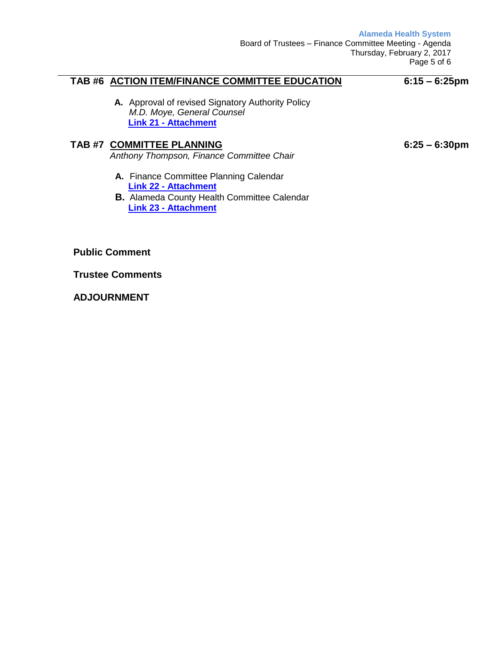**Alameda Health System**

## **TAB #6 ACTION ITEM/FINANCE COMMITTEE EDUCATION**

## **6:15 – 6:25pm**

**6:25 – 6:30pm** 

**A.** Approval of revised Signatory Authority Policy *M.D. Moye, General Counsel* **Link 21 - [Attachment](http://www.alamedahealthsystem.org/sites/default/files/agenda-2017-02-02/Link%2021_Tab%206A%20-%20Signatory%20Authority%20Policy.pdf)**

## **TAB #7 COMMITTEE PLANNING**

*Anthony Thompson, Finance Committee Chair*

- **A.** Finance Committee Planning Calendar **Link 22 - [Attachment](http://www.alamedahealthsystem.org/sites/default/files/agenda-2017-02-02/Link%2022_Tab%207A-%20Finance%20Comm%20Planning%20Calendar-%20REV%201-25-17.pdf)**
- **B.** Alameda County Health Committee Calendar **Link 23 - [Attachment](http://www.alamedahealthsystem.org/sites/default/files/agenda-2017-02-02/Link%2023_Tab%207B%20-%20BOS%20Health%20Committee%20Meetings%202017.pdf)**

**Public Comment**

**Trustee Comments**

**ADJOURNMENT**